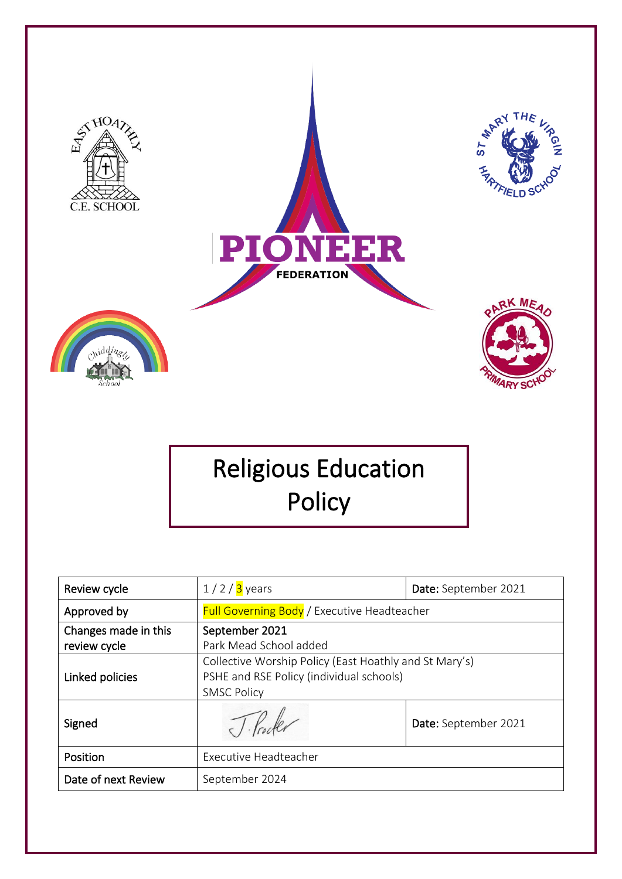

# Religious Education Policy

| Review cycle                         | $1/2/3$ years                                                                                                            | Date: September 2021 |
|--------------------------------------|--------------------------------------------------------------------------------------------------------------------------|----------------------|
| Approved by                          | <b>Full Governing Body / Executive Headteacher</b>                                                                       |                      |
| Changes made in this<br>review cycle | September 2021<br>Park Mead School added                                                                                 |                      |
| Linked policies                      | Collective Worship Policy (East Hoathly and St Mary's)<br>PSHE and RSE Policy (individual schools)<br><b>SMSC Policy</b> |                      |
| Signed                               |                                                                                                                          | Date: September 2021 |
| Position                             | Executive Headteacher                                                                                                    |                      |
| Date of next Review                  | September 2024                                                                                                           |                      |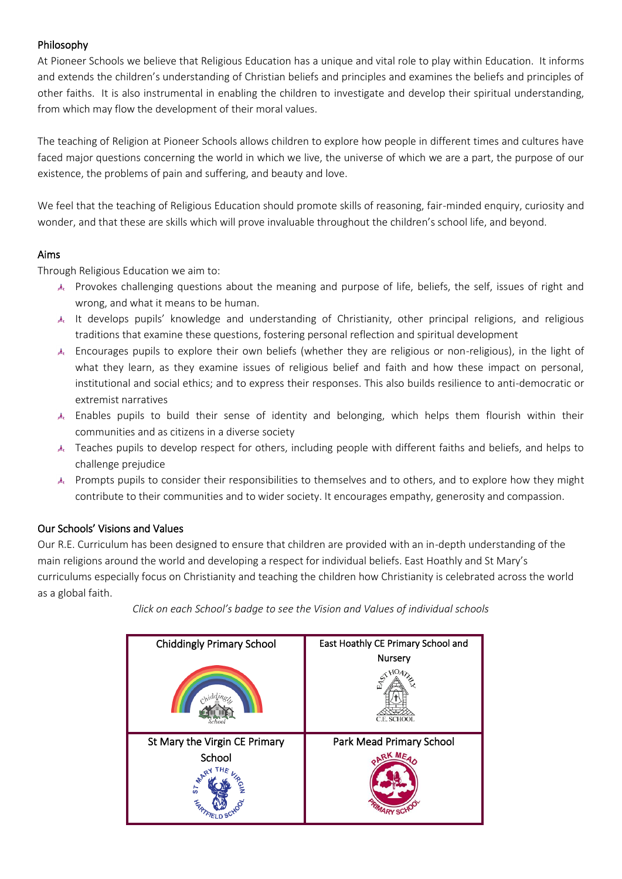# Philosophy

At Pioneer Schools we believe that Religious Education has a unique and vital role to play within Education. It informs and extends the children's understanding of Christian beliefs and principles and examines the beliefs and principles of other faiths. It is also instrumental in enabling the children to investigate and develop their spiritual understanding, from which may flow the development of their moral values.

The teaching of Religion at Pioneer Schools allows children to explore how people in different times and cultures have faced major questions concerning the world in which we live, the universe of which we are a part, the purpose of our existence, the problems of pain and suffering, and beauty and love.

We feel that the teaching of Religious Education should promote skills of reasoning, fair-minded enquiry, curiosity and wonder, and that these are skills which will prove invaluable throughout the children's school life, and beyond.

# Aims

Through Religious Education we aim to:

- Provokes challenging questions about the meaning and purpose of life, beliefs, the self, issues of right and wrong, and what it means to be human.
- It develops pupils' knowledge and understanding of Christianity, other principal religions, and religious traditions that examine these questions, fostering personal reflection and spiritual development
- Encourages pupils to explore their own beliefs (whether they are religious or non-religious), in the light of what they learn, as they examine issues of religious belief and faith and how these impact on personal, institutional and social ethics; and to express their responses. This also builds resilience to anti-democratic or extremist narratives
- Enables pupils to build their sense of identity and belonging, which helps them flourish within their communities and as citizens in a diverse society
- Teaches pupils to develop respect for others, including people with different faiths and beliefs, and helps to challenge prejudice
- A Prompts pupils to consider their responsibilities to themselves and to others, and to explore how they might contribute to their communities and to wider society. It encourages empathy, generosity and compassion.

# Our Schools' Visions and Values

Our R.E. Curriculum has been designed to ensure that children are provided with an in-depth understanding of the main religions around the world and developing a respect for individual beliefs. East Hoathly and St Mary's curriculums especially focus on Christianity and teaching the children how Christianity is celebrated across the world as a global faith.

| <b>Chiddingly Primary School</b>                              | East Hoathly CE Primary School and |
|---------------------------------------------------------------|------------------------------------|
|                                                               | Nursery<br>ħ<br>C.E. SCHOOL        |
| St Mary the Virgin CE Primary<br>School<br><b>A</b> AR!<br>္စ | Park Mead Primary School<br>RKME   |

*Click on each School's badge to see the Vision and Values of individual schools*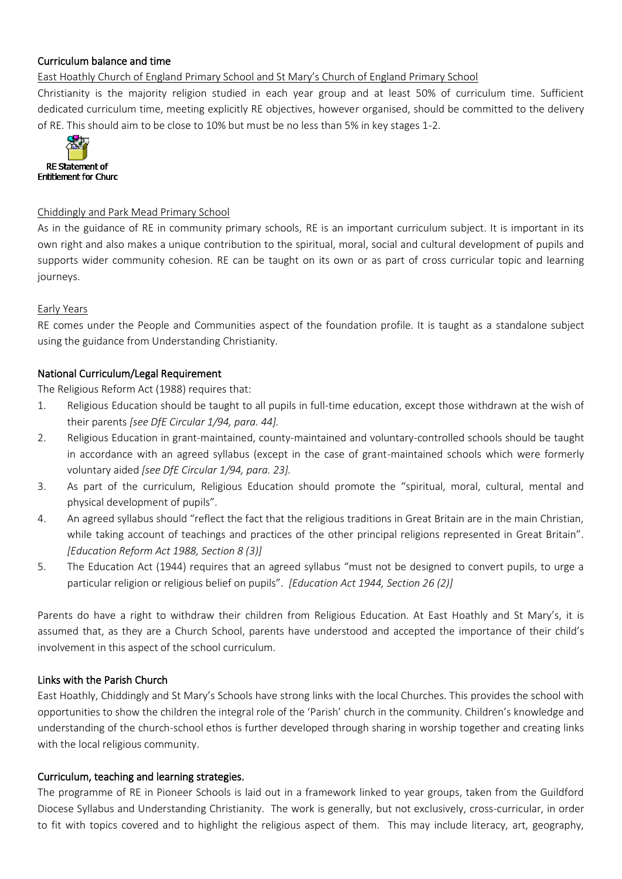#### Curriculum balance and time

East Hoathly Church of England Primary School and St Mary's Church of England Primary School

Christianity is the majority religion studied in each year group and at least 50% of curriculum time. Sufficient dedicated curriculum time, meeting explicitly RE objectives, however organised, should be committed to the delivery of RE. This should aim to be close to 10% but must be no less than 5% in key stages 1-2.



#### Chiddingly and Park Mead Primary School

As in the guidance of RE in community primary schools, RE is an important curriculum subject. It is important in its own right and also makes a unique contribution to the spiritual, moral, social and cultural development of pupils and supports wider community cohesion. RE can be taught on its own or as part of cross curricular topic and learning journeys.

#### Early Years

RE comes under the People and Communities aspect of the foundation profile. It is taught as a standalone subject using the guidance from Understanding Christianity.

#### National Curriculum/Legal Requirement

The Religious Reform Act (1988) requires that:

- 1. Religious Education should be taught to all pupils in full-time education, except those withdrawn at the wish of their parents *[see DfE Circular 1/94, para. 44].*
- 2. Religious Education in grant-maintained, county-maintained and voluntary-controlled schools should be taught in accordance with an agreed syllabus (except in the case of grant-maintained schools which were formerly voluntary aided *[see DfE Circular 1/94, para. 23].*
- 3. As part of the curriculum, Religious Education should promote the "spiritual, moral, cultural, mental and physical development of pupils".
- 4. An agreed syllabus should "reflect the fact that the religious traditions in Great Britain are in the main Christian, while taking account of teachings and practices of the other principal religions represented in Great Britain". *[Education Reform Act 1988, Section 8 (3)]*
- 5. The Education Act (1944) requires that an agreed syllabus "must not be designed to convert pupils, to urge a particular religion or religious belief on pupils". *[Education Act 1944, Section 26 (2)]*

Parents do have a right to withdraw their children from Religious Education. At East Hoathly and St Mary's, it is assumed that, as they are a Church School, parents have understood and accepted the importance of their child's involvement in this aspect of the school curriculum.

## Links with the Parish Church

East Hoathly, Chiddingly and St Mary's Schools have strong links with the local Churches. This provides the school with opportunities to show the children the integral role of the 'Parish' church in the community. Children's knowledge and understanding of the church-school ethos is further developed through sharing in worship together and creating links with the local religious community.

## Curriculum, teaching and learning strategies.

The programme of RE in Pioneer Schools is laid out in a framework linked to year groups, taken from the Guildford Diocese Syllabus and Understanding Christianity. The work is generally, but not exclusively, cross-curricular, in order to fit with topics covered and to highlight the religious aspect of them. This may include literacy, art, geography,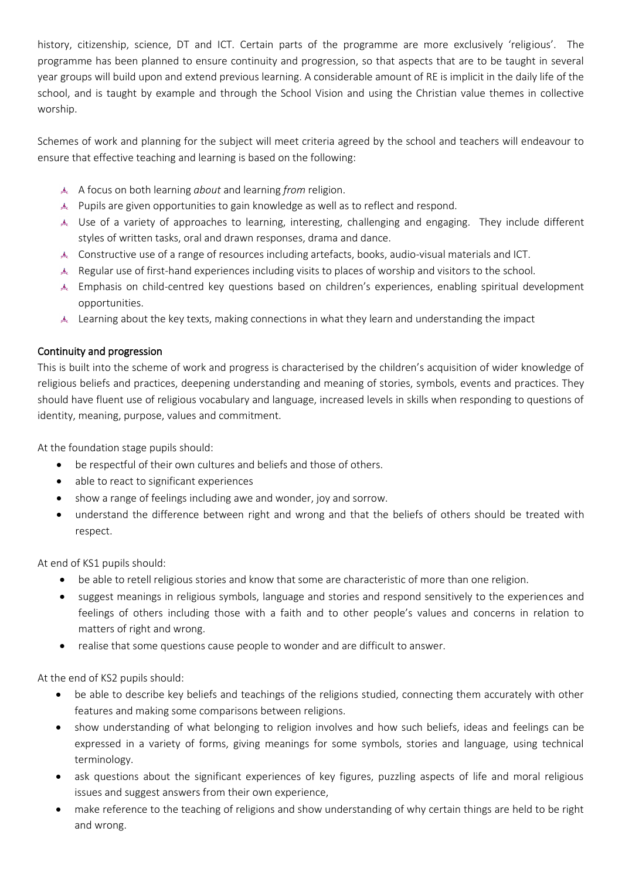history, citizenship, science, DT and ICT. Certain parts of the programme are more exclusively 'religious'. The programme has been planned to ensure continuity and progression, so that aspects that are to be taught in several year groups will build upon and extend previous learning. A considerable amount of RE is implicit in the daily life of the school, and is taught by example and through the School Vision and using the Christian value themes in collective worship.

Schemes of work and planning for the subject will meet criteria agreed by the school and teachers will endeavour to ensure that effective teaching and learning is based on the following:

- A focus on both learning *about* and learning *from* religion.
- Pupils are given opportunities to gain knowledge as well as to reflect and respond.
- Use of a variety of approaches to learning, interesting, challenging and engaging. They include different styles of written tasks, oral and drawn responses, drama and dance.
- Constructive use of a range of resources including artefacts, books, audio-visual materials and ICT.
- Regular use of first-hand experiences including visits to places of worship and visitors to the school.
- Emphasis on child-centred key questions based on children's experiences, enabling spiritual development opportunities.
- Learning about the key texts, making connections in what they learn and understanding the impact

## Continuity and progression

This is built into the scheme of work and progress is characterised by the children's acquisition of wider knowledge of religious beliefs and practices, deepening understanding and meaning of stories, symbols, events and practices. They should have fluent use of religious vocabulary and language, increased levels in skills when responding to questions of identity, meaning, purpose, values and commitment.

At the foundation stage pupils should:

- be respectful of their own cultures and beliefs and those of others.
- able to react to significant experiences
- show a range of feelings including awe and wonder, joy and sorrow.
- understand the difference between right and wrong and that the beliefs of others should be treated with respect.

At end of KS1 pupils should:

- be able to retell religious stories and know that some are characteristic of more than one religion.
- suggest meanings in religious symbols, language and stories and respond sensitively to the experiences and feelings of others including those with a faith and to other people's values and concerns in relation to matters of right and wrong.
- realise that some questions cause people to wonder and are difficult to answer.

At the end of KS2 pupils should:

- be able to describe key beliefs and teachings of the religions studied, connecting them accurately with other features and making some comparisons between religions.
- show understanding of what belonging to religion involves and how such beliefs, ideas and feelings can be expressed in a variety of forms, giving meanings for some symbols, stories and language, using technical terminology.
- ask questions about the significant experiences of key figures, puzzling aspects of life and moral religious issues and suggest answers from their own experience,
- make reference to the teaching of religions and show understanding of why certain things are held to be right and wrong.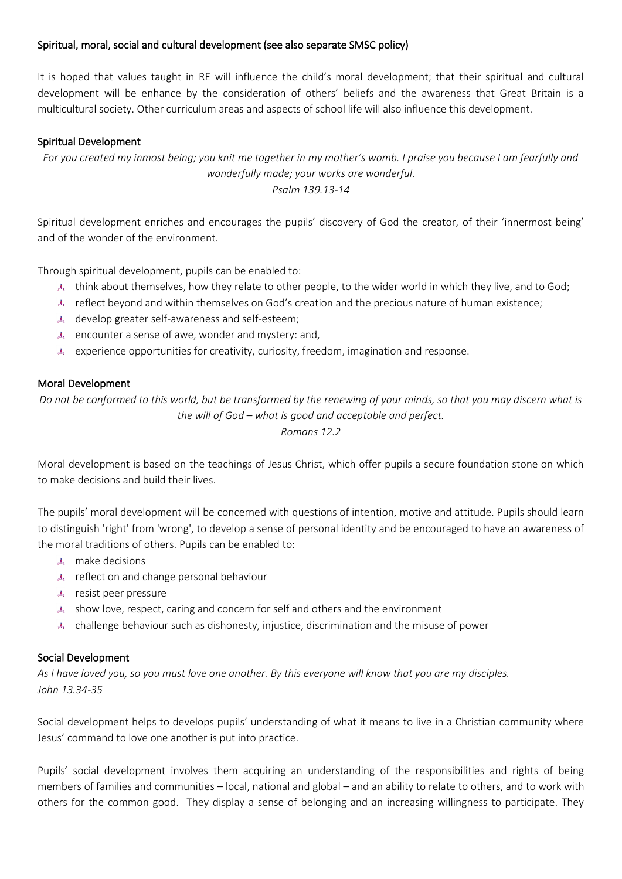# Spiritual, moral, social and cultural development (see also separate SMSC policy)

It is hoped that values taught in RE will influence the child's moral development; that their spiritual and cultural development will be enhance by the consideration of others' beliefs and the awareness that Great Britain is a multicultural society. Other curriculum areas and aspects of school life will also influence this development.

#### Spiritual Development

*For you created my inmost being; you knit me together in my mother's womb. I praise you because I am fearfully and wonderfully made; your works are wonderful*. *Psalm 139.13-14*

Spiritual development enriches and encourages the pupils' discovery of God the creator, of their 'innermost being' and of the wonder of the environment.

Through spiritual development, pupils can be enabled to:

- think about themselves, how they relate to other people, to the wider world in which they live, and to God;
- reflect beyond and within themselves on God's creation and the precious nature of human existence;
- develop greater self-awareness and self-esteem;
- $\lambda$  encounter a sense of awe, wonder and mystery: and,
- $\lambda$  experience opportunities for creativity, curiosity, freedom, imagination and response.

#### Moral Development

*Do not be conformed to this world, but be transformed by the renewing of your minds, so that you may discern what is the will of God – what is good and acceptable and perfect. Romans 12.2*

Moral development is based on the teachings of Jesus Christ, which offer pupils a secure foundation stone on which to make decisions and build their lives.

The pupils' moral development will be concerned with questions of intention, motive and attitude. Pupils should learn to distinguish 'right' from 'wrong', to develop a sense of personal identity and be encouraged to have an awareness of the moral traditions of others. Pupils can be enabled to:

- make decisions
- reflect on and change personal behaviour
- resist peer pressure
- show love, respect, caring and concern for self and others and the environment
- challenge behaviour such as dishonesty, injustice, discrimination and the misuse of power

#### Social Development

*As I have loved you, so you must love one another. By this everyone will know that you are my disciples. John 13.34-35*

Social development helps to develops pupils' understanding of what it means to live in a Christian community where Jesus' command to love one another is put into practice.

Pupils' social development involves them acquiring an understanding of the responsibilities and rights of being members of families and communities – local, national and global – and an ability to relate to others, and to work with others for the common good. They display a sense of belonging and an increasing willingness to participate. They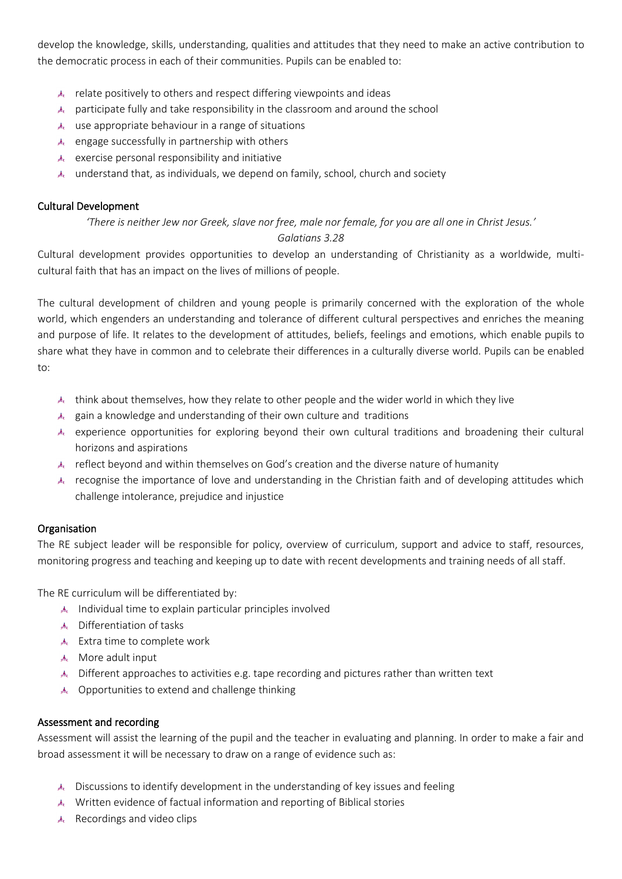develop the knowledge, skills, understanding, qualities and attitudes that they need to make an active contribution to the democratic process in each of their communities. Pupils can be enabled to:

- $\triangle$  relate positively to others and respect differing viewpoints and ideas
- participate fully and take responsibility in the classroom and around the school
- $\triangle$  use appropriate behaviour in a range of situations
- engage successfully in partnership with others
- $\triangle$  exercise personal responsibility and initiative
- understand that, as individuals, we depend on family, school, church and society

## Cultural Development

*'There is neither Jew nor Greek, slave nor free, male nor female, for you are all one in Christ Jesus.' Galatians 3.28*

Cultural development provides opportunities to develop an understanding of Christianity as a worldwide, multicultural faith that has an impact on the lives of millions of people.

The cultural development of children and young people is primarily concerned with the exploration of the whole world, which engenders an understanding and tolerance of different cultural perspectives and enriches the meaning and purpose of life. It relates to the development of attitudes, beliefs, feelings and emotions, which enable pupils to share what they have in common and to celebrate their differences in a culturally diverse world. Pupils can be enabled to:

- think about themselves, how they relate to other people and the wider world in which they live
- $\triangle$  gain a knowledge and understanding of their own culture and traditions
- experience opportunities for exploring beyond their own cultural traditions and broadening their cultural horizons and aspirations
- reflect beyond and within themselves on God's creation and the diverse nature of humanity
- recognise the importance of love and understanding in the Christian faith and of developing attitudes which challenge intolerance, prejudice and injustice

## Organisation

The RE subject leader will be responsible for policy, overview of curriculum, support and advice to staff, resources, monitoring progress and teaching and keeping up to date with recent developments and training needs of all staff.

The RE curriculum will be differentiated by:

- Individual time to explain particular principles involved
- Differentiation of tasks
- Extra time to complete work
- More adult input
- Different approaches to activities e.g. tape recording and pictures rather than written text
- Opportunities to extend and challenge thinking

#### Assessment and recording

Assessment will assist the learning of the pupil and the teacher in evaluating and planning. In order to make a fair and broad assessment it will be necessary to draw on a range of evidence such as:

- Discussions to identify development in the understanding of key issues and feeling
- Written evidence of factual information and reporting of Biblical stories
- Recordings and video clips